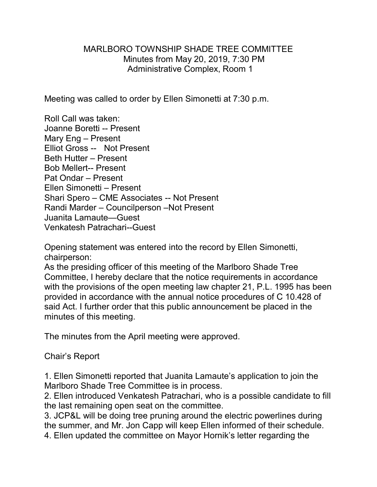## MARLBORO TOWNSHIP SHADE TREE COMMITTEE Minutes from May 20, 2019, 7:30 PM Administrative Complex, Room 1

Meeting was called to order by Ellen Simonetti at 7:30 p.m.

Roll Call was taken: Joanne Boretti -- Present Mary Eng – Present Elliot Gross -- Not Present Beth Hutter – Present Bob Mellert-- Present Pat Ondar – Present Ellen Simonetti – Present Shari Spero – CME Associates -- Not Present Randi Marder – Councilperson –Not Present Juanita Lamaute—Guest Venkatesh Patrachari--Guest

Opening statement was entered into the record by Ellen Simonetti, chairperson:

As the presiding officer of this meeting of the Marlboro Shade Tree Committee, I hereby declare that the notice requirements in accordance with the provisions of the open meeting law chapter 21, P.L. 1995 has been provided in accordance with the annual notice procedures of C 10.428 of said Act. I further order that this public announcement be placed in the minutes of this meeting.

The minutes from the April meeting were approved.

Chair's Report

1. Ellen Simonetti reported that Juanita Lamaute's application to join the Marlboro Shade Tree Committee is in process.

2. Ellen introduced Venkatesh Patrachari, who is a possible candidate to fill the last remaining open seat on the committee.

3. JCP&L will be doing tree pruning around the electric powerlines during the summer, and Mr. Jon Capp will keep Ellen informed of their schedule. 4. Ellen updated the committee on Mayor Hornik's letter regarding the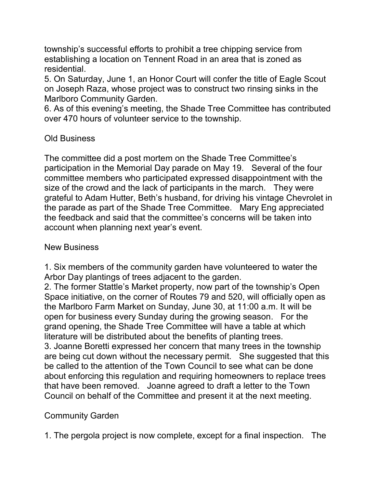township's successful efforts to prohibit a tree chipping service from establishing a location on Tennent Road in an area that is zoned as residential.

5. On Saturday, June 1, an Honor Court will confer the title of Eagle Scout on Joseph Raza, whose project was to construct two rinsing sinks in the Marlboro Community Garden.

6. As of this evening's meeting, the Shade Tree Committee has contributed over 470 hours of volunteer service to the township.

## Old Business

The committee did a post mortem on the Shade Tree Committee's participation in the Memorial Day parade on May 19. Several of the four committee members who participated expressed disappointment with the size of the crowd and the lack of participants in the march. They were grateful to Adam Hutter, Beth's husband, for driving his vintage Chevrolet in the parade as part of the Shade Tree Committee. Mary Eng appreciated the feedback and said that the committee's concerns will be taken into account when planning next year's event.

## New Business

1. Six members of the community garden have volunteered to water the Arbor Day plantings of trees adjacent to the garden.

2. The former Stattle's Market property, now part of the township's Open Space initiative, on the corner of Routes 79 and 520, will officially open as the Marlboro Farm Market on Sunday, June 30, at 11:00 a.m. It will be open for business every Sunday during the growing season. For the grand opening, the Shade Tree Committee will have a table at which literature will be distributed about the benefits of planting trees. 3. Joanne Boretti expressed her concern that many trees in the township are being cut down without the necessary permit. She suggested that this be called to the attention of the Town Council to see what can be done about enforcing this regulation and requiring homeowners to replace trees that have been removed. Joanne agreed to draft a letter to the Town Council on behalf of the Committee and present it at the next meeting.

## Community Garden

1. The pergola project is now complete, except for a final inspection. The